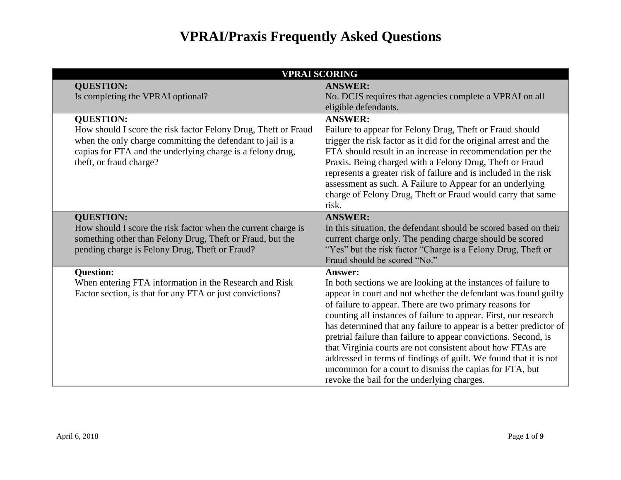| <b>VPRAI SCORING</b>                                                                                                                                                                                                                      |                                                                                                                                                                                                                                                                                                                                                                                                                                                                                                                                                                                                                                                                        |
|-------------------------------------------------------------------------------------------------------------------------------------------------------------------------------------------------------------------------------------------|------------------------------------------------------------------------------------------------------------------------------------------------------------------------------------------------------------------------------------------------------------------------------------------------------------------------------------------------------------------------------------------------------------------------------------------------------------------------------------------------------------------------------------------------------------------------------------------------------------------------------------------------------------------------|
| <b>QUESTION:</b>                                                                                                                                                                                                                          | <b>ANSWER:</b>                                                                                                                                                                                                                                                                                                                                                                                                                                                                                                                                                                                                                                                         |
| Is completing the VPRAI optional?                                                                                                                                                                                                         | No. DCJS requires that agencies complete a VPRAI on all                                                                                                                                                                                                                                                                                                                                                                                                                                                                                                                                                                                                                |
|                                                                                                                                                                                                                                           | eligible defendants.                                                                                                                                                                                                                                                                                                                                                                                                                                                                                                                                                                                                                                                   |
| <b>QUESTION:</b><br>How should I score the risk factor Felony Drug, Theft or Fraud<br>when the only charge committing the defendant to jail is a<br>capias for FTA and the underlying charge is a felony drug,<br>theft, or fraud charge? | <b>ANSWER:</b><br>Failure to appear for Felony Drug, Theft or Fraud should<br>trigger the risk factor as it did for the original arrest and the<br>FTA should result in an increase in recommendation per the<br>Praxis. Being charged with a Felony Drug, Theft or Fraud<br>represents a greater risk of failure and is included in the risk<br>assessment as such. A Failure to Appear for an underlying<br>charge of Felony Drug, Theft or Fraud would carry that same<br>risk.                                                                                                                                                                                     |
| <b>QUESTION:</b><br>How should I score the risk factor when the current charge is<br>something other than Felony Drug, Theft or Fraud, but the<br>pending charge is Felony Drug, Theft or Fraud?                                          | <b>ANSWER:</b><br>In this situation, the defendant should be scored based on their<br>current charge only. The pending charge should be scored<br>"Yes" but the risk factor "Charge is a Felony Drug, Theft or<br>Fraud should be scored "No."                                                                                                                                                                                                                                                                                                                                                                                                                         |
| <b>Question:</b><br>When entering FTA information in the Research and Risk<br>Factor section, is that for any FTA or just convictions?                                                                                                    | <b>Answer:</b><br>In both sections we are looking at the instances of failure to<br>appear in court and not whether the defendant was found guilty<br>of failure to appear. There are two primary reasons for<br>counting all instances of failure to appear. First, our research<br>has determined that any failure to appear is a better predictor of<br>pretrial failure than failure to appear convictions. Second, is<br>that Virginia courts are not consistent about how FTAs are<br>addressed in terms of findings of guilt. We found that it is not<br>uncommon for a court to dismiss the capias for FTA, but<br>revoke the bail for the underlying charges. |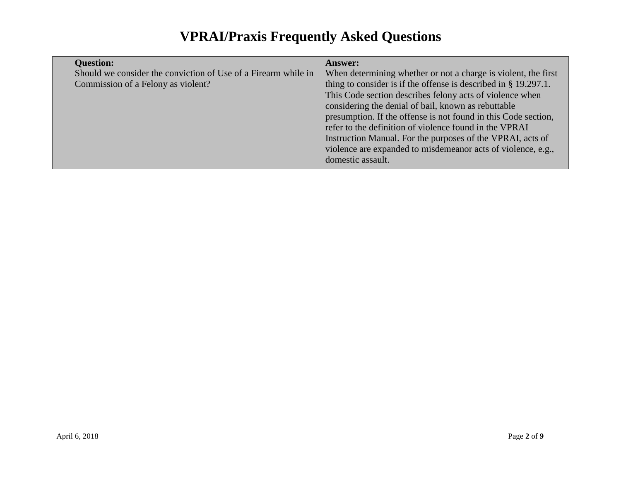| <b>Question:</b>                                               | <b>Answer:</b>                                                     |
|----------------------------------------------------------------|--------------------------------------------------------------------|
| Should we consider the conviction of Use of a Firearm while in | When determining whether or not a charge is violent, the first     |
| Commission of a Felony as violent?                             | thing to consider is if the offense is described in $\S$ 19.297.1. |
|                                                                | This Code section describes felony acts of violence when           |
|                                                                | considering the denial of bail, known as rebuttable                |
|                                                                | presumption. If the offense is not found in this Code section,     |
|                                                                | refer to the definition of violence found in the VPRAI             |
|                                                                | Instruction Manual. For the purposes of the VPRAI, acts of         |
|                                                                | violence are expanded to misdemean or acts of violence, e.g.,      |
|                                                                | domestic assault.                                                  |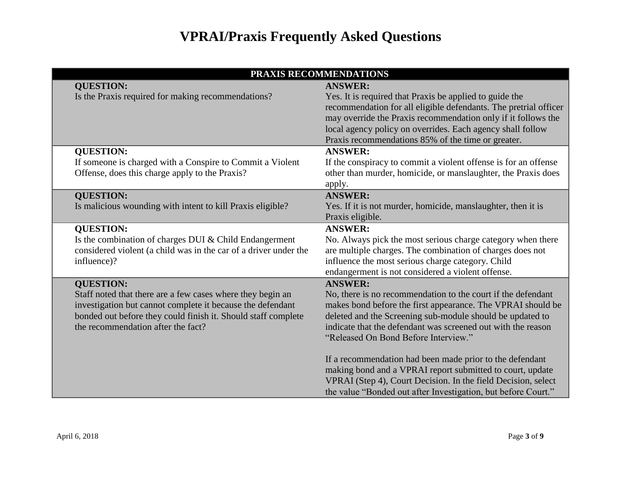| PRAXIS RECOMMENDATIONS                                           |                                                                  |
|------------------------------------------------------------------|------------------------------------------------------------------|
| <b>QUESTION:</b>                                                 | <b>ANSWER:</b>                                                   |
| Is the Praxis required for making recommendations?               | Yes. It is required that Praxis be applied to guide the          |
|                                                                  | recommendation for all eligible defendants. The pretrial officer |
|                                                                  | may override the Praxis recommendation only if it follows the    |
|                                                                  | local agency policy on overrides. Each agency shall follow       |
|                                                                  | Praxis recommendations 85% of the time or greater.               |
| <b>QUESTION:</b>                                                 | <b>ANSWER:</b>                                                   |
| If someone is charged with a Conspire to Commit a Violent        | If the conspiracy to commit a violent offense is for an offense  |
| Offense, does this charge apply to the Praxis?                   | other than murder, homicide, or manslaughter, the Praxis does    |
|                                                                  | apply.                                                           |
| <b>QUESTION:</b>                                                 | <b>ANSWER:</b>                                                   |
| Is malicious wounding with intent to kill Praxis eligible?       | Yes. If it is not murder, homicide, manslaughter, then it is     |
|                                                                  | Praxis eligible.                                                 |
| <b>QUESTION:</b>                                                 | <b>ANSWER:</b>                                                   |
| Is the combination of charges DUI & Child Endangerment           | No. Always pick the most serious charge category when there      |
| considered violent (a child was in the car of a driver under the | are multiple charges. The combination of charges does not        |
| influence)?                                                      | influence the most serious charge category. Child                |
|                                                                  | endangerment is not considered a violent offense.                |
| <b>QUESTION:</b>                                                 | <b>ANSWER:</b>                                                   |
| Staff noted that there are a few cases where they begin an       | No, there is no recommendation to the court if the defendant     |
| investigation but cannot complete it because the defendant       | makes bond before the first appearance. The VPRAI should be      |
| bonded out before they could finish it. Should staff complete    | deleted and the Screening sub-module should be updated to        |
| the recommendation after the fact?                               | indicate that the defendant was screened out with the reason     |
|                                                                  | "Released On Bond Before Interview."                             |
|                                                                  | If a recommendation had been made prior to the defendant         |
|                                                                  | making bond and a VPRAI report submitted to court, update        |
|                                                                  | VPRAI (Step 4), Court Decision. In the field Decision, select    |
|                                                                  | the value "Bonded out after Investigation, but before Court."    |
|                                                                  |                                                                  |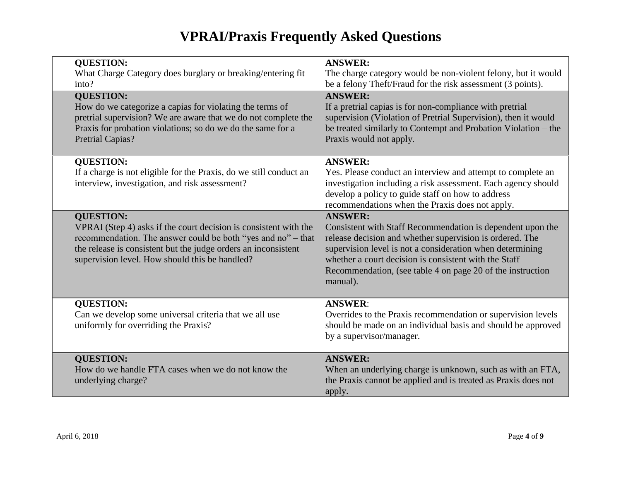| <b>QUESTION:</b><br>What Charge Category does burglary or breaking/entering fit | <b>ANSWER:</b><br>The charge category would be non-violent felony, but it would |
|---------------------------------------------------------------------------------|---------------------------------------------------------------------------------|
| into?                                                                           | be a felony Theft/Fraud for the risk assessment (3 points).                     |
| <b>QUESTION:</b>                                                                | <b>ANSWER:</b>                                                                  |
| How do we categorize a capias for violating the terms of                        | If a pretrial capias is for non-compliance with pretrial                        |
| pretrial supervision? We are aware that we do not complete the                  | supervision (Violation of Pretrial Supervision), then it would                  |
| Praxis for probation violations; so do we do the same for a                     | be treated similarly to Contempt and Probation Violation - the                  |
| Pretrial Capias?                                                                | Praxis would not apply.                                                         |
|                                                                                 |                                                                                 |
| <b>QUESTION:</b>                                                                | <b>ANSWER:</b>                                                                  |
| If a charge is not eligible for the Praxis, do we still conduct an              | Yes. Please conduct an interview and attempt to complete an                     |
| interview, investigation, and risk assessment?                                  | investigation including a risk assessment. Each agency should                   |
|                                                                                 | develop a policy to guide staff on how to address                               |
|                                                                                 | recommendations when the Praxis does not apply.                                 |
| <b>QUESTION:</b>                                                                | <b>ANSWER:</b>                                                                  |
| VPRAI (Step 4) asks if the court decision is consistent with the                | Consistent with Staff Recommendation is dependent upon the                      |
| recommendation. The answer could be both "yes and no" – that                    | release decision and whether supervision is ordered. The                        |
| the release is consistent but the judge orders an inconsistent                  | supervision level is not a consideration when determining                       |
| supervision level. How should this be handled?                                  | whether a court decision is consistent with the Staff                           |
|                                                                                 | Recommendation, (see table 4 on page 20 of the instruction                      |
|                                                                                 | manual).                                                                        |
|                                                                                 |                                                                                 |
| <b>QUESTION:</b>                                                                | <b>ANSWER:</b>                                                                  |
| Can we develop some universal criteria that we all use                          | Overrides to the Praxis recommendation or supervision levels                    |
| uniformly for overriding the Praxis?                                            | should be made on an individual basis and should be approved                    |
|                                                                                 | by a supervisor/manager.                                                        |
| <b>QUESTION:</b>                                                                | <b>ANSWER:</b>                                                                  |
| How do we handle FTA cases when we do not know the                              | When an underlying charge is unknown, such as with an FTA,                      |
| underlying charge?                                                              | the Praxis cannot be applied and is treated as Praxis does not                  |
|                                                                                 | apply.                                                                          |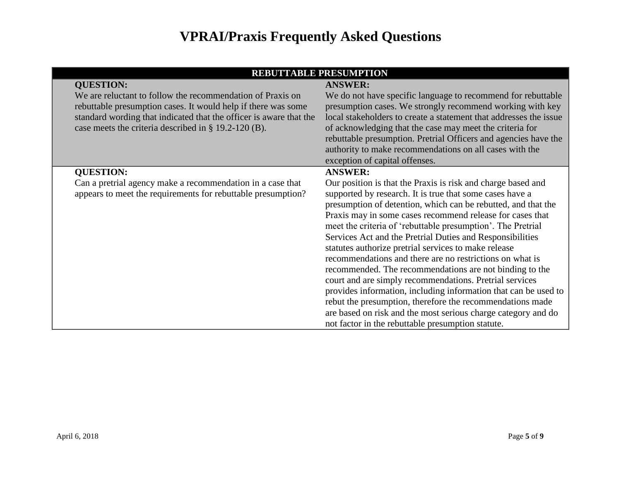| <b>REBUTTABLE PRESUMPTION</b>                                      |                                                                   |  |
|--------------------------------------------------------------------|-------------------------------------------------------------------|--|
| <b>QUESTION:</b>                                                   | <b>ANSWER:</b>                                                    |  |
| We are reluctant to follow the recommendation of Praxis on         | We do not have specific language to recommend for rebuttable      |  |
| rebuttable presumption cases. It would help if there was some      | presumption cases. We strongly recommend working with key         |  |
| standard wording that indicated that the officer is aware that the | local stakeholders to create a statement that addresses the issue |  |
| case meets the criteria described in § 19.2-120 (B).               | of acknowledging that the case may meet the criteria for          |  |
|                                                                    | rebuttable presumption. Pretrial Officers and agencies have the   |  |
|                                                                    | authority to make recommendations on all cases with the           |  |
|                                                                    | exception of capital offenses.                                    |  |
| <b>QUESTION:</b>                                                   | <b>ANSWER:</b>                                                    |  |
| Can a pretrial agency make a recommendation in a case that         | Our position is that the Praxis is risk and charge based and      |  |
| appears to meet the requirements for rebuttable presumption?       | supported by research. It is true that some cases have a          |  |
|                                                                    | presumption of detention, which can be rebutted, and that the     |  |
|                                                                    | Praxis may in some cases recommend release for cases that         |  |
|                                                                    | meet the criteria of 'rebuttable presumption'. The Pretrial       |  |
|                                                                    | Services Act and the Pretrial Duties and Responsibilities         |  |
|                                                                    | statutes authorize pretrial services to make release              |  |
|                                                                    | recommendations and there are no restrictions on what is          |  |
|                                                                    | recommended. The recommendations are not binding to the           |  |
|                                                                    | court and are simply recommendations. Pretrial services           |  |
|                                                                    | provides information, including information that can be used to   |  |
|                                                                    | rebut the presumption, therefore the recommendations made         |  |
|                                                                    | are based on risk and the most serious charge category and do     |  |
|                                                                    | not factor in the rebuttable presumption statute.                 |  |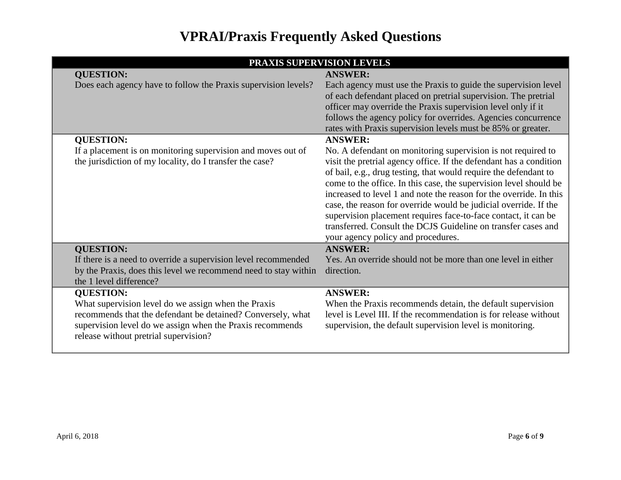|                                                                                                                                                                                                                                              | PRAXIS SUPERVISION LEVELS                                                                                                                                                                                                                                                                                                                                                                                                                                                                                                                                                                      |
|----------------------------------------------------------------------------------------------------------------------------------------------------------------------------------------------------------------------------------------------|------------------------------------------------------------------------------------------------------------------------------------------------------------------------------------------------------------------------------------------------------------------------------------------------------------------------------------------------------------------------------------------------------------------------------------------------------------------------------------------------------------------------------------------------------------------------------------------------|
| <b>QUESTION:</b>                                                                                                                                                                                                                             | <b>ANSWER:</b>                                                                                                                                                                                                                                                                                                                                                                                                                                                                                                                                                                                 |
| Does each agency have to follow the Praxis supervision levels?                                                                                                                                                                               | Each agency must use the Praxis to guide the supervision level<br>of each defendant placed on pretrial supervision. The pretrial<br>officer may override the Praxis supervision level only if it<br>follows the agency policy for overrides. Agencies concurrence<br>rates with Praxis supervision levels must be 85% or greater.                                                                                                                                                                                                                                                              |
| <b>QUESTION:</b>                                                                                                                                                                                                                             | <b>ANSWER:</b>                                                                                                                                                                                                                                                                                                                                                                                                                                                                                                                                                                                 |
| If a placement is on monitoring supervision and moves out of<br>the jurisdiction of my locality, do I transfer the case?                                                                                                                     | No. A defendant on monitoring supervision is not required to<br>visit the pretrial agency office. If the defendant has a condition<br>of bail, e.g., drug testing, that would require the defendant to<br>come to the office. In this case, the supervision level should be<br>increased to level 1 and note the reason for the override. In this<br>case, the reason for override would be judicial override. If the<br>supervision placement requires face-to-face contact, it can be<br>transferred. Consult the DCJS Guideline on transfer cases and<br>your agency policy and procedures. |
| <b>QUESTION:</b>                                                                                                                                                                                                                             | <b>ANSWER:</b>                                                                                                                                                                                                                                                                                                                                                                                                                                                                                                                                                                                 |
| If there is a need to override a supervision level recommended<br>by the Praxis, does this level we recommend need to stay within<br>the 1 level difference?                                                                                 | Yes. An override should not be more than one level in either<br>direction.                                                                                                                                                                                                                                                                                                                                                                                                                                                                                                                     |
| <b>QUESTION:</b><br>What supervision level do we assign when the Praxis<br>recommends that the defendant be detained? Conversely, what<br>supervision level do we assign when the Praxis recommends<br>release without pretrial supervision? | <b>ANSWER:</b><br>When the Praxis recommends detain, the default supervision<br>level is Level III. If the recommendation is for release without<br>supervision, the default supervision level is monitoring.                                                                                                                                                                                                                                                                                                                                                                                  |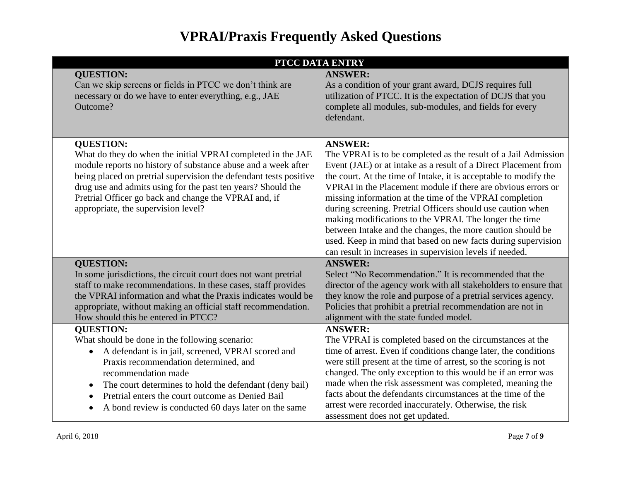|  | PTCC DATA ENTRY                                                     |                                                                                                                       |
|--|---------------------------------------------------------------------|-----------------------------------------------------------------------------------------------------------------------|
|  | <b>QUESTION:</b>                                                    | <b>ANSWER:</b>                                                                                                        |
|  | Can we skip screens or fields in PTCC we don't think are            | As a condition of your grant award, DCJS requires full                                                                |
|  | necessary or do we have to enter everything, e.g., JAE              | utilization of PTCC. It is the expectation of DCJS that you                                                           |
|  | Outcome?                                                            | complete all modules, sub-modules, and fields for every<br>defendant.                                                 |
|  |                                                                     |                                                                                                                       |
|  |                                                                     |                                                                                                                       |
|  | <b>QUESTION:</b>                                                    | <b>ANSWER:</b>                                                                                                        |
|  | What do they do when the initial VPRAI completed in the JAE         | The VPRAI is to be completed as the result of a Jail Admission                                                        |
|  | module reports no history of substance abuse and a week after       | Event (JAE) or at intake as a result of a Direct Placement from                                                       |
|  | being placed on pretrial supervision the defendant tests positive   | the court. At the time of Intake, it is acceptable to modify the                                                      |
|  | drug use and admits using for the past ten years? Should the        | VPRAI in the Placement module if there are obvious errors or                                                          |
|  | Pretrial Officer go back and change the VPRAI and, if               | missing information at the time of the VPRAI completion                                                               |
|  | appropriate, the supervision level?                                 | during screening. Pretrial Officers should use caution when<br>making modifications to the VPRAI. The longer the time |
|  |                                                                     | between Intake and the changes, the more caution should be                                                            |
|  |                                                                     | used. Keep in mind that based on new facts during supervision                                                         |
|  |                                                                     | can result in increases in supervision levels if needed.                                                              |
|  | <b>QUESTION:</b>                                                    | <b>ANSWER:</b>                                                                                                        |
|  | In some jurisdictions, the circuit court does not want pretrial     | Select "No Recommendation." It is recommended that the                                                                |
|  | staff to make recommendations. In these cases, staff provides       | director of the agency work with all stakeholders to ensure that                                                      |
|  | the VPRAI information and what the Praxis indicates would be        | they know the role and purpose of a pretrial services agency.                                                         |
|  | appropriate, without making an official staff recommendation.       | Policies that prohibit a pretrial recommendation are not in                                                           |
|  | How should this be entered in PTCC?                                 | alignment with the state funded model.                                                                                |
|  | <b>QUESTION:</b>                                                    | <b>ANSWER:</b>                                                                                                        |
|  | What should be done in the following scenario:                      | The VPRAI is completed based on the circumstances at the                                                              |
|  | A defendant is in jail, screened, VPRAI scored and<br>$\bullet$     | time of arrest. Even if conditions change later, the conditions                                                       |
|  | Praxis recommendation determined, and                               | were still present at the time of arrest, so the scoring is not                                                       |
|  | recommendation made                                                 | changed. The only exception to this would be if an error was                                                          |
|  | The court determines to hold the defendant (deny bail)<br>$\bullet$ | made when the risk assessment was completed, meaning the                                                              |
|  | Pretrial enters the court outcome as Denied Bail<br>$\bullet$       | facts about the defendants circumstances at the time of the                                                           |
|  | A bond review is conducted 60 days later on the same<br>$\bullet$   | arrest were recorded inaccurately. Otherwise, the risk                                                                |
|  |                                                                     | assessment does not get updated.                                                                                      |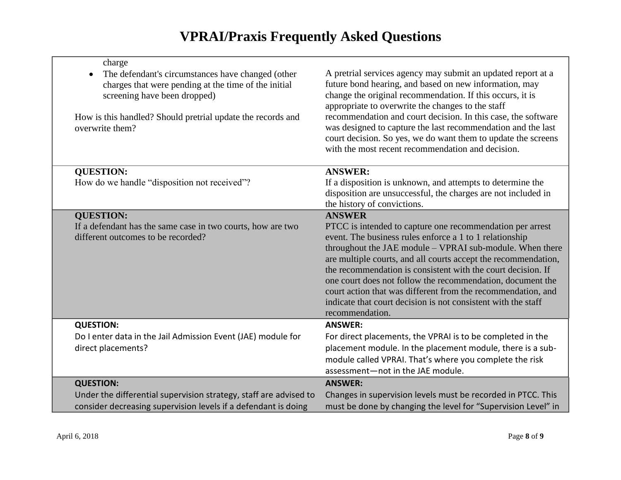| charge                                                                                                                                                                                                                      |                                                                                                                                                                                                                                                                                                                                                                                                                                                                                                                                      |
|-----------------------------------------------------------------------------------------------------------------------------------------------------------------------------------------------------------------------------|--------------------------------------------------------------------------------------------------------------------------------------------------------------------------------------------------------------------------------------------------------------------------------------------------------------------------------------------------------------------------------------------------------------------------------------------------------------------------------------------------------------------------------------|
| The defendant's circumstances have changed (other<br>charges that were pending at the time of the initial<br>screening have been dropped)<br>How is this handled? Should pretrial update the records and<br>overwrite them? | A pretrial services agency may submit an updated report at a<br>future bond hearing, and based on new information, may<br>change the original recommendation. If this occurs, it is<br>appropriate to overwrite the changes to the staff<br>recommendation and court decision. In this case, the software<br>was designed to capture the last recommendation and the last<br>court decision. So yes, we do want them to update the screens<br>with the most recent recommendation and decision.                                      |
| <b>QUESTION:</b>                                                                                                                                                                                                            | <b>ANSWER:</b>                                                                                                                                                                                                                                                                                                                                                                                                                                                                                                                       |
| How do we handle "disposition not received"?                                                                                                                                                                                | If a disposition is unknown, and attempts to determine the<br>disposition are unsuccessful, the charges are not included in<br>the history of convictions.                                                                                                                                                                                                                                                                                                                                                                           |
| <b>QUESTION:</b>                                                                                                                                                                                                            | <b>ANSWER</b>                                                                                                                                                                                                                                                                                                                                                                                                                                                                                                                        |
| If a defendant has the same case in two courts, how are two<br>different outcomes to be recorded?                                                                                                                           | PTCC is intended to capture one recommendation per arrest<br>event. The business rules enforce a 1 to 1 relationship<br>throughout the JAE module - VPRAI sub-module. When there<br>are multiple courts, and all courts accept the recommendation,<br>the recommendation is consistent with the court decision. If<br>one court does not follow the recommendation, document the<br>court action that was different from the recommendation, and<br>indicate that court decision is not consistent with the staff<br>recommendation. |
| <b>QUESTION:</b>                                                                                                                                                                                                            | <b>ANSWER:</b>                                                                                                                                                                                                                                                                                                                                                                                                                                                                                                                       |
| Do I enter data in the Jail Admission Event (JAE) module for                                                                                                                                                                | For direct placements, the VPRAI is to be completed in the                                                                                                                                                                                                                                                                                                                                                                                                                                                                           |
| direct placements?                                                                                                                                                                                                          | placement module. In the placement module, there is a sub-<br>module called VPRAI. That's where you complete the risk<br>assessment-not in the JAE module.                                                                                                                                                                                                                                                                                                                                                                           |
| <b>QUESTION:</b>                                                                                                                                                                                                            | <b>ANSWER:</b>                                                                                                                                                                                                                                                                                                                                                                                                                                                                                                                       |
| Under the differential supervision strategy, staff are advised to<br>consider decreasing supervision levels if a defendant is doing                                                                                         | Changes in supervision levels must be recorded in PTCC. This<br>must be done by changing the level for "Supervision Level" in                                                                                                                                                                                                                                                                                                                                                                                                        |